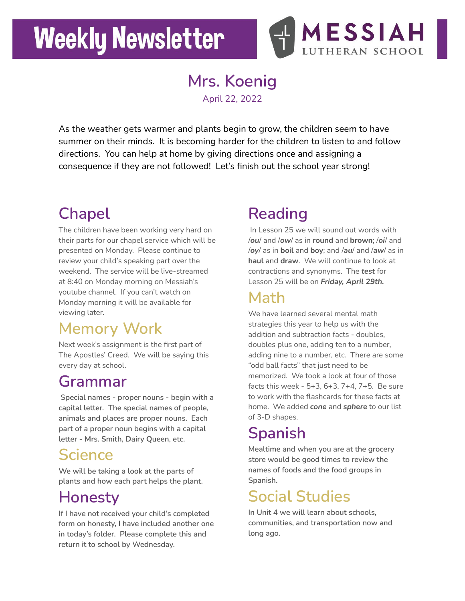# **Weekly Newsletter**



**Mrs. Koenig** April 22, 2022

As the weather gets warmer and plants begin to grow, the children seem to have summer on their minds. It is becoming harder for the children to listen to and follow directions. You can help at home by giving directions once and assigning a consequence if they are not followed! Let's finish out the school year strong!

## **Chapel**

The children have been working very hard on their parts for our chapel service which will be presented on Monday. Please continue to review your child's speaking part over the weekend. The service will be live-streamed at 8:40 on Monday morning on Messiah's youtube channel. If you can't watch on Monday morning it will be available for viewing later.

### **Memory Work**

Next week's assignment is the first part of The Apostles' Creed. We will be saying this every day at school.

#### **Grammar**

**Special names - proper nouns - begin with a capital letter. The special names of people, animals and places are proper nouns. Each part of a proper noun begins with a capital letter - Mrs. Smith, Dairy Queen, etc.**

#### **Science**

**We will be taking a look at the parts of plants and how each part helps the plant.**

### **Honesty**

**If I have not received your child's completed form on honesty, I have included another one in today's folder. Please complete this and return it to school by Wednesday.**

## **Reading**

In Lesson 25 we will sound out words with /*ou*/ and /*ow*/ as in **round** and **brown**; /*oi*/ and /*oy*/ as in **boil** and **boy**; and /*au*/ and /*aw*/ as in **haul** and **draw**. We will continue to look at contractions and synonyms. The *test* for Lesson 25 will be on *Friday, April 29th.*

#### **Math**

We have learned several mental math strategies this year to help us with the addition and subtraction facts - doubles, doubles plus one, adding ten to a number, adding nine to a number, etc. There are some "odd ball facts" that just need to be memorized. We took a look at four of those facts this week - 5+3, 6+3, 7+4, 7+5. Be sure to work with the flashcards for these facts at home. We added *cone* and *sphere* to our list of 3-D shapes.

## **Spanish**

**Mealtime and when you are at the grocery store would be good times to review the names of foods and the food groups in Spanish.**

#### **Social Studies**

**In Unit 4 we will learn about schools, communities, and transportation now and long ago.**